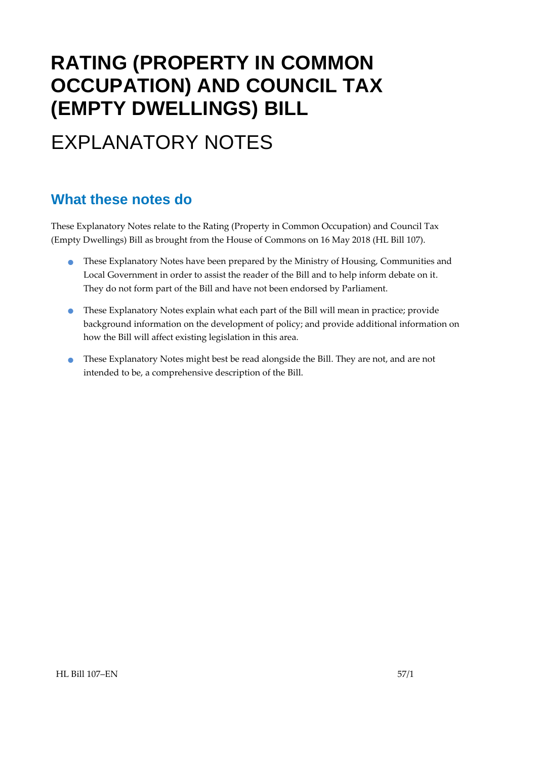# **RATING (PROPERTY IN COMMON OCCUPATION) AND COUNCIL TAX (EMPTY DWELLINGS) BILL**

# EXPLANATORY NOTES

### **What these notes do**

- These Explanatory Notes have been prepared by the Ministry of Housing, Communities and Local Government in order to assist the reader of the Bill and to help inform debate on it. They do not form part of the Bill and have not been endorsed by Parliament.
- These Explanatory Notes explain what each part of the Bill will mean in practice; provide background information on the development of policy; and provide additional information on how the Bill will affect existing legislation in this area.
- **•** These Explanatory Notes might best be read alongside the Bill. They are not, and are not intended to be, a comprehensive description of the Bill.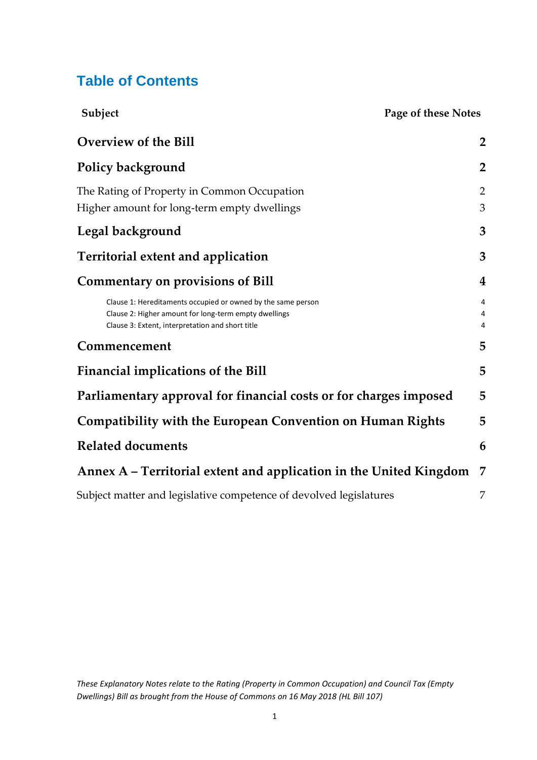### **Table of Contents**

| Subject                                                                                                                                                                   | Page of these Notes      |
|---------------------------------------------------------------------------------------------------------------------------------------------------------------------------|--------------------------|
| <b>Overview of the Bill</b>                                                                                                                                               | $\overline{2}$           |
| Policy background                                                                                                                                                         | $\overline{2}$           |
| The Rating of Property in Common Occupation<br>Higher amount for long-term empty dwellings                                                                                | $\overline{2}$<br>3      |
| Legal background                                                                                                                                                          | 3                        |
| <b>Territorial extent and application</b>                                                                                                                                 | 3                        |
| <b>Commentary on provisions of Bill</b>                                                                                                                                   | $\overline{\mathbf{4}}$  |
| Clause 1: Hereditaments occupied or owned by the same person<br>Clause 2: Higher amount for long-term empty dwellings<br>Clause 3: Extent, interpretation and short title | 4<br>4<br>$\overline{4}$ |
| Commencement                                                                                                                                                              | 5                        |
| <b>Financial implications of the Bill</b>                                                                                                                                 | 5                        |
| Parliamentary approval for financial costs or for charges imposed                                                                                                         | 5                        |
| <b>Compatibility with the European Convention on Human Rights</b>                                                                                                         | 5                        |
| <b>Related documents</b>                                                                                                                                                  | 6                        |
| Annex A – Territorial extent and application in the United Kingdom                                                                                                        | 7                        |
| Subject matter and legislative competence of devolved legislatures                                                                                                        | 7                        |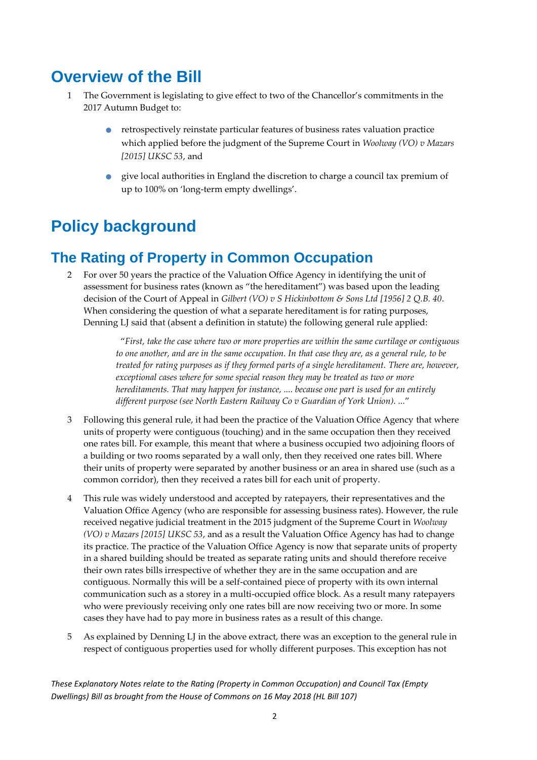## <span id="page-2-0"></span>**Overview of the Bill**

- 1 The Government is legislating to give effect to two of the Chancellor's commitments in the 2017 Autumn Budget to:
	- retrospectively reinstate particular features of business rates valuation practice which applied before the judgment of the Supreme Court in *Woolway (VO) v Mazars [2015] UKSC 53*, and
	- give local authorities in England the discretion to charge a council tax premium of up to 100% on 'long-term empty dwellings'.

## <span id="page-2-1"></span>**Policy background**

## <span id="page-2-2"></span>**The Rating of Property in Common Occupation**

2 For over 50 years the practice of the Valuation Office Agency in identifying the unit of assessment for business rates (known as "the hereditament") was based upon the leading decision of the Court of Appeal in *Gilbert (VO) v S Hickinbottom & Sons Ltd [1956] 2 Q.B. 40*. When considering the question of what a separate hereditament is for rating purposes, Denning LJ said that (absent a definition in statute) the following general rule applied:

> "*First, take the case where two or more properties are within the same curtilage or contiguous to one another, and are in the same occupation. In that case they are, as a general rule, to be treated for rating purposes as if they formed parts of a single hereditament. There are, however, exceptional cases where for some special reason they may be treated as two or more hereditaments. That may happen for instance, .... because one part is used for an entirely different purpose (see North Eastern Railway Co v Guardian of York Union). ...*"

- 3 Following this general rule, it had been the practice of the Valuation Office Agency that where units of property were contiguous (touching) and in the same occupation then they received one rates bill. For example, this meant that where a business occupied two adjoining floors of a building or two rooms separated by a wall only, then they received one rates bill. Where their units of property were separated by another business or an area in shared use (such as a common corridor), then they received a rates bill for each unit of property.
- 4 This rule was widely understood and accepted by ratepayers, their representatives and the Valuation Office Agency (who are responsible for assessing business rates). However, the rule received negative judicial treatment in the 2015 judgment of the Supreme Court in *Woolway (VO) v Mazars [2015] UKSC 53*, and as a result the Valuation Office Agency has had to change its practice. The practice of the Valuation Office Agency is now that separate units of property in a shared building should be treated as separate rating units and should therefore receive their own rates bills irrespective of whether they are in the same occupation and are contiguous. Normally this will be a self-contained piece of property with its own internal communication such as a storey in a multi-occupied office block. As a result many ratepayers who were previously receiving only one rates bill are now receiving two or more. In some cases they have had to pay more in business rates as a result of this change.
- 5 As explained by Denning LJ in the above extract, there was an exception to the general rule in respect of contiguous properties used for wholly different purposes. This exception has not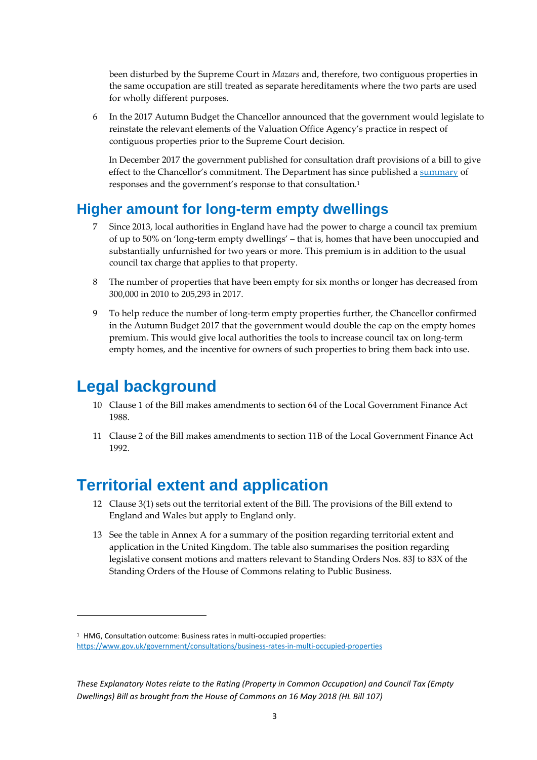been disturbed by the Supreme Court in *Mazars* and, therefore, two contiguous properties in the same occupation are still treated as separate hereditaments where the two parts are used for wholly different purposes.

6 In the 2017 Autumn Budget the Chancellor announced that the government would legislate to reinstate the relevant elements of the Valuation Office Agency's practice in respect of contiguous properties prior to the Supreme Court decision.

In December 2017 the government published for consultation draft provisions of a bill to give effect to the Chancellor's commitment. The Department has since published [a summary](https://www.gov.uk/government/consultations/business-rates-in-multi-occupied-properties) of responses and the government's response to that consultation.<sup>1</sup>

### <span id="page-3-0"></span>**Higher amount for long-term empty dwellings**

- 7 Since 2013, local authorities in England have had the power to charge a council tax premium of up to 50% on 'long-term empty dwellings' – that is, homes that have been unoccupied and substantially unfurnished for two years or more. This premium is in addition to the usual council tax charge that applies to that property.
- 8 The number of properties that have been empty for six months or longer has decreased from 300,000 in 2010 to 205,293 in 2017.
- 9 To help reduce the number of long-term empty properties further, the Chancellor confirmed in the Autumn Budget 2017 that the government would double the cap on the empty homes premium. This would give local authorities the tools to increase council tax on long-term empty homes, and the incentive for owners of such properties to bring them back into use.

## <span id="page-3-1"></span>**Legal background**

**.** 

- 10 Clause 1 of the Bill makes amendments to section 64 of the Local Government Finance Act 1988.
- 11 Clause 2 of the Bill makes amendments to section 11B of the Local Government Finance Act 1992.

## <span id="page-3-2"></span>**Territorial extent and application**

- 12 Clause 3(1) sets out the territorial extent of the Bill. The provisions of the Bill extend to England and Wales but apply to England only.
- 13 See the table in Annex A for a summary of the position regarding territorial extent and application in the United Kingdom. The table also summarises the position regarding legislative consent motions and matters relevant to Standing Orders Nos. 83J to 83X of the Standing Orders of the House of Commons relating to Public Business.

<sup>&</sup>lt;sup>1</sup> HMG, Consultation outcome: Business rates in multi-occupied properties:

<https://www.gov.uk/government/consultations/business-rates-in-multi-occupied-properties>

*These Explanatory Notes relate to the Rating (Property in Common Occupation) and Council Tax (Empty Dwellings) Bill as brought from the House of Commons on 16 May 2018 (HL Bill 107)*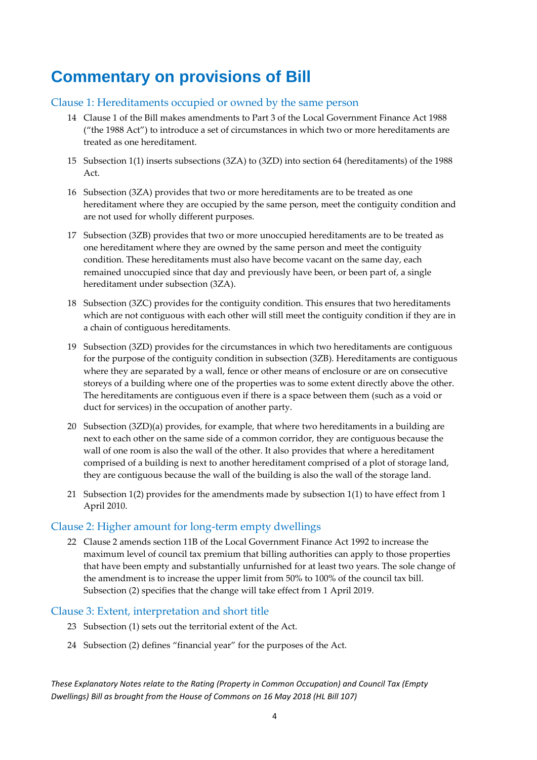## <span id="page-4-0"></span>**Commentary on provisions of Bill**

#### <span id="page-4-1"></span>Clause 1: Hereditaments occupied or owned by the same person

- 14 Clause 1 of the Bill makes amendments to Part 3 of the Local Government Finance Act 1988 ("the 1988 Act") to introduce a set of circumstances in which two or more hereditaments are treated as one hereditament.
- 15 Subsection 1(1) inserts subsections (3ZA) to (3ZD) into section 64 (hereditaments) of the 1988 Act.
- 16 Subsection (3ZA) provides that two or more hereditaments are to be treated as one hereditament where they are occupied by the same person, meet the contiguity condition and are not used for wholly different purposes.
- 17 Subsection (3ZB) provides that two or more unoccupied hereditaments are to be treated as one hereditament where they are owned by the same person and meet the contiguity condition. These hereditaments must also have become vacant on the same day, each remained unoccupied since that day and previously have been, or been part of, a single hereditament under subsection (3ZA).
- 18 Subsection (3ZC) provides for the contiguity condition. This ensures that two hereditaments which are not contiguous with each other will still meet the contiguity condition if they are in a chain of contiguous hereditaments.
- 19 Subsection (3ZD) provides for the circumstances in which two hereditaments are contiguous for the purpose of the contiguity condition in subsection (3ZB). Hereditaments are contiguous where they are separated by a wall, fence or other means of enclosure or are on consecutive storeys of a building where one of the properties was to some extent directly above the other. The hereditaments are contiguous even if there is a space between them (such as a void or duct for services) in the occupation of another party.
- 20 Subsection (3ZD)(a) provides, for example, that where two hereditaments in a building are next to each other on the same side of a common corridor, they are contiguous because the wall of one room is also the wall of the other. It also provides that where a hereditament comprised of a building is next to another hereditament comprised of a plot of storage land, they are contiguous because the wall of the building is also the wall of the storage land.
- 21 Subsection 1(2) provides for the amendments made by subsection 1(1) to have effect from 1 April 2010.

#### <span id="page-4-2"></span>Clause 2: Higher amount for long-term empty dwellings

22 Clause 2 amends section 11B of the Local Government Finance Act 1992 to increase the maximum level of council tax premium that billing authorities can apply to those properties that have been empty and substantially unfurnished for at least two years. The sole change of the amendment is to increase the upper limit from 50% to 100% of the council tax bill. Subsection (2) specifies that the change will take effect from 1 April 2019.

#### <span id="page-4-3"></span>Clause 3: Extent, interpretation and short title

- 23 Subsection (1) sets out the territorial extent of the Act.
- 24 Subsection (2) defines "financial year" for the purposes of the Act.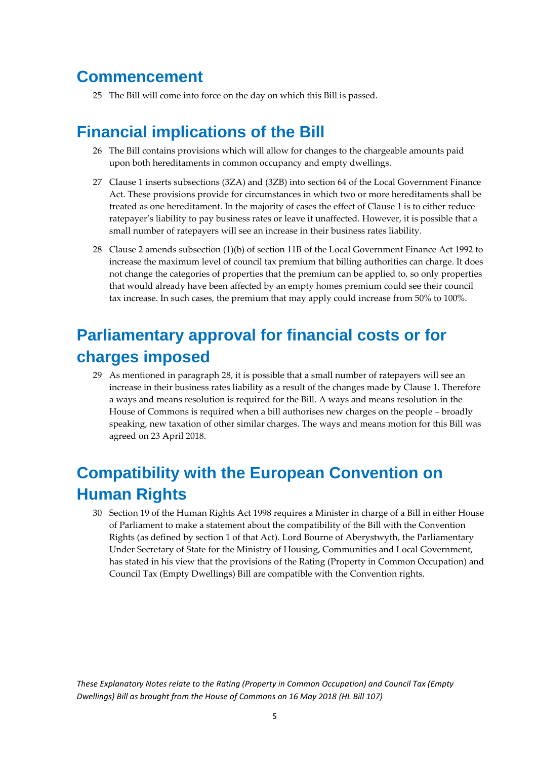### <span id="page-5-0"></span>**Commencement**

25 The Bill will come into force on the day on which this Bill is passed.

## <span id="page-5-1"></span>**Financial implications of the Bill**

- 26 The Bill contains provisions which will allow for changes to the chargeable amounts paid upon both hereditaments in common occupancy and empty dwellings.
- 27 Clause 1 inserts subsections (3ZA) and (3ZB) into section 64 of the Local Government Finance Act. These provisions provide for circumstances in which two or more hereditaments shall be treated as one hereditament. In the majority of cases the effect of Clause 1 is to either reduce ratepayer's liability to pay business rates or leave it unaffected. However, it is possible that a small number of ratepayers will see an increase in their business rates liability.
- 28 Clause 2 amends subsection (1)(b) of section 11B of the Local Government Finance Act 1992 to increase the maximum level of council tax premium that billing authorities can charge. It does not change the categories of properties that the premium can be applied to, so only properties that would already have been affected by an empty homes premium could see their council tax increase. In such cases, the premium that may apply could increase from 50% to 100%.

## <span id="page-5-2"></span>**Parliamentary approval for financial costs or for charges imposed**

29 As mentioned in paragraph 28, it is possible that a small number of ratepayers will see an increase in their business rates liability as a result of the changes made by Clause 1. Therefore a ways and means resolution is required for the Bill. A ways and means resolution in the House of Commons is required when a bill authorises new charges on the people – broadly speaking, new taxation of other similar charges. The ways and means motion for this Bill was agreed on 23 April 2018.

## <span id="page-5-3"></span>**Compatibility with the European Convention on Human Rights**

30 Section 19 of the Human Rights Act 1998 requires a Minister in charge of a Bill in either House of Parliament to make a statement about the compatibility of the Bill with the Convention Rights (as defined by section 1 of that Act). Lord Bourne of Aberystwyth, the Parliamentary Under Secretary of State for the Ministry of Housing, Communities and Local Government, has stated in his view that the provisions of the Rating (Property in Common Occupation) and Council Tax (Empty Dwellings) Bill are compatible with the Convention rights.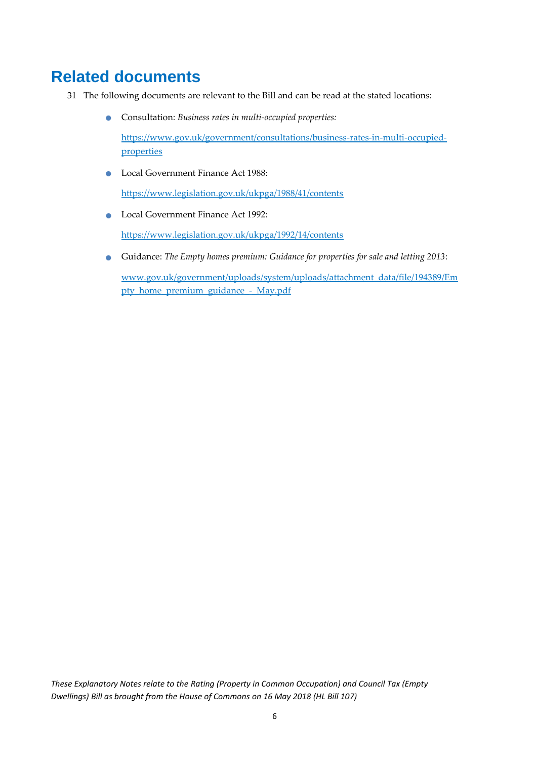## <span id="page-6-0"></span>**Related documents**

- 31 The following documents are relevant to the Bill and can be read at the stated locations:
	- Consultation: *Business rates in multi-occupied properties:*

[https://www.gov.uk/government/consultations/business-rates-in-multi-occupied](https://www.gov.uk/government/consultations/business-rates-in-multi-occupied-properties)[properties](https://www.gov.uk/government/consultations/business-rates-in-multi-occupied-properties)

**C** Local Government Finance Act 1988:

<https://www.legislation.gov.uk/ukpga/1988/41/contents>

**Local Government Finance Act 1992:** 

<https://www.legislation.gov.uk/ukpga/1992/14/contents>

 Guidance: *The Empty homes premium: Guidance for properties for sale and letting 2013*: [www.gov.uk/government/uploads/system/uploads/attachment\\_data/file/194389/Em](http://www.gov.uk/government/uploads/system/uploads/attachment_data/file/194389/Empty_home_premium_guidance_-_May.pdf)

[pty\\_home\\_premium\\_guidance\\_-\\_May.pdf](http://www.gov.uk/government/uploads/system/uploads/attachment_data/file/194389/Empty_home_premium_guidance_-_May.pdf)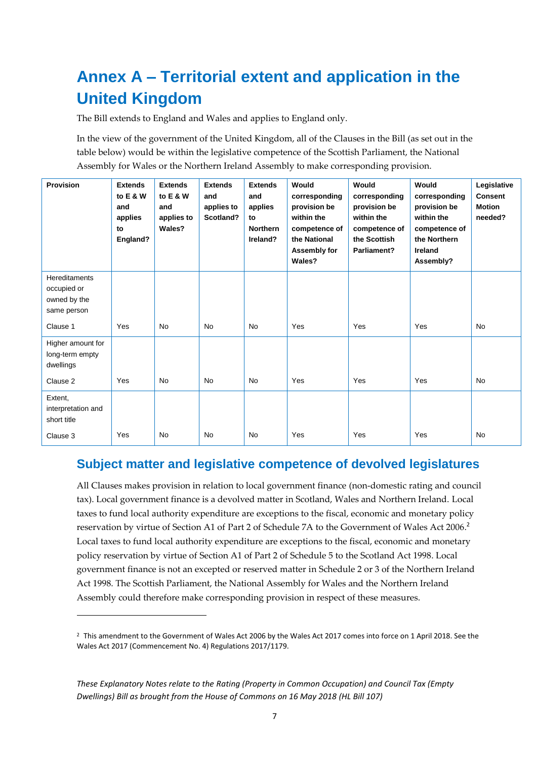## <span id="page-7-0"></span>**Annex A – Territorial extent and application in the United Kingdom**

The Bill extends to England and Wales and applies to England only.

In the view of the government of the United Kingdom, all of the Clauses in the Bill (as set out in the table below) would be within the legislative competence of the Scottish Parliament, the National Assembly for Wales or the Northern Ireland Assembly to make corresponding provision.

| <b>Provision</b>                                                   | <b>Extends</b><br>to E & W<br>and<br>applies<br>to<br>England? | <b>Extends</b><br>to E & W<br>and<br>applies to<br>Wales? | <b>Extends</b><br>and<br>applies to<br>Scotland? | <b>Extends</b><br>and<br>applies<br>to<br><b>Northern</b><br>Ireland? | Would<br>corresponding<br>provision be<br>within the<br>competence of<br>the National<br>Assembly for<br>Wales? | Would<br>corresponding<br>provision be<br>within the<br>competence of<br>the Scottish<br>Parliament? | Would<br>corresponding<br>provision be<br>within the<br>competence of<br>the Northern<br>Ireland<br>Assembly? | Legislative<br><b>Consent</b><br><b>Motion</b><br>needed? |
|--------------------------------------------------------------------|----------------------------------------------------------------|-----------------------------------------------------------|--------------------------------------------------|-----------------------------------------------------------------------|-----------------------------------------------------------------------------------------------------------------|------------------------------------------------------------------------------------------------------|---------------------------------------------------------------------------------------------------------------|-----------------------------------------------------------|
| <b>Hereditaments</b><br>occupied or<br>owned by the<br>same person |                                                                |                                                           |                                                  |                                                                       |                                                                                                                 |                                                                                                      |                                                                                                               |                                                           |
| Clause 1                                                           | Yes                                                            | <b>No</b>                                                 | <b>No</b>                                        | <b>No</b>                                                             | Yes                                                                                                             | Yes                                                                                                  | Yes                                                                                                           | <b>No</b>                                                 |
| Higher amount for<br>long-term empty<br>dwellings<br>Clause 2      | Yes                                                            | <b>No</b>                                                 | <b>No</b>                                        | <b>No</b>                                                             | Yes                                                                                                             | Yes                                                                                                  | Yes                                                                                                           | <b>No</b>                                                 |
| Extent,                                                            |                                                                |                                                           |                                                  |                                                                       |                                                                                                                 |                                                                                                      |                                                                                                               |                                                           |
| interpretation and<br>short title                                  |                                                                |                                                           |                                                  |                                                                       |                                                                                                                 |                                                                                                      |                                                                                                               |                                                           |
| Clause 3                                                           | Yes                                                            | <b>No</b>                                                 | <b>No</b>                                        | <b>No</b>                                                             | Yes                                                                                                             | Yes                                                                                                  | Yes                                                                                                           | <b>No</b>                                                 |

### <span id="page-7-1"></span>**Subject matter and legislative competence of devolved legislatures**

All Clauses makes provision in relation to local government finance (non-domestic rating and council tax). Local government finance is a devolved matter in Scotland, Wales and Northern Ireland. Local taxes to fund local authority expenditure are exceptions to the fiscal, economic and monetary policy reservation by virtue of Section A1 of Part 2 of Schedule 7A to the Government of Wales Act 2006.<sup>2</sup> Local taxes to fund local authority expenditure are exceptions to the fiscal, economic and monetary policy reservation by virtue of Section A1 of Part 2 of Schedule 5 to the Scotland Act 1998. Local government finance is not an excepted or reserved matter in Schedule 2 or 3 of the Northern Ireland Act 1998. The Scottish Parliament, the National Assembly for Wales and the Northern Ireland Assembly could therefore make corresponding provision in respect of these measures.

**.** 

<sup>&</sup>lt;sup>2</sup> This amendment to the Government of Wales Act 2006 by the Wales Act 2017 comes into force on 1 April 2018. See the Wales Act 2017 (Commencement No. 4) Regulations 2017/1179.

*These Explanatory Notes relate to the Rating (Property in Common Occupation) and Council Tax (Empty Dwellings) Bill as brought from the House of Commons on 16 May 2018 (HL Bill 107)*